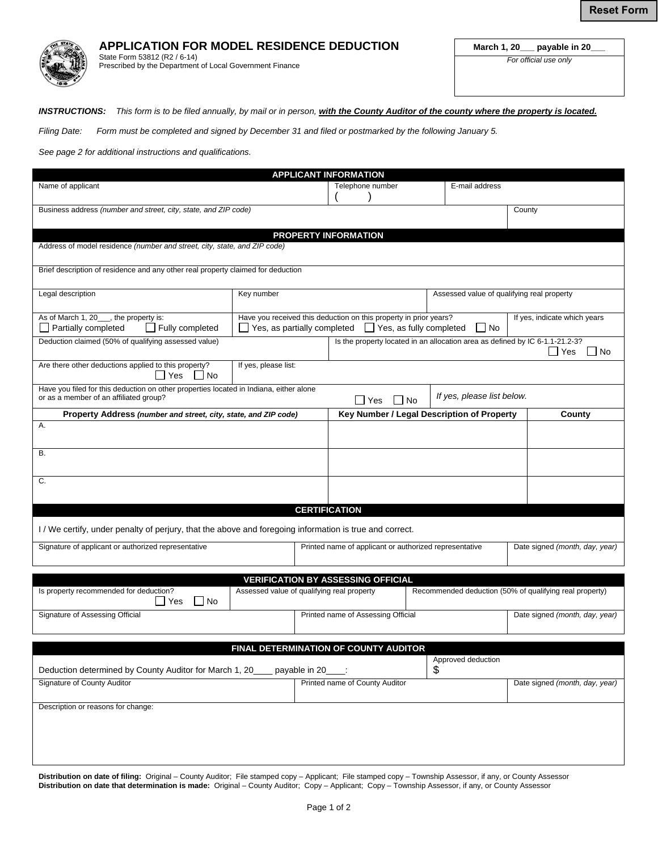

**APPLICATION FOR MODEL RESIDENCE DEDUCTION**  State Form 53812 (R2 / 6-14)

Prescribed by the Department of Local Government Finance

**March 1, 20\_\_\_ payable in 20\_\_\_** 

*For official use only* 

*INSTRUCTIONS: This form is to be filed annually, by mail or in person, with the County Auditor of the county where the property is located.* 

*Filing Date: Form must be completed and signed by December 31 and filed or postmarked by the following January 5.* 

*See page 2 for additional instructions and qualifications.* 

| <b>APPLICANT INFORMATION</b>                                                                            |                                                                       |  |                                                        |                                                         |                                            |                                                                              |                                |  |  |
|---------------------------------------------------------------------------------------------------------|-----------------------------------------------------------------------|--|--------------------------------------------------------|---------------------------------------------------------|--------------------------------------------|------------------------------------------------------------------------------|--------------------------------|--|--|
| Name of applicant                                                                                       |                                                                       |  | Telephone number                                       |                                                         |                                            | E-mail address                                                               |                                |  |  |
|                                                                                                         |                                                                       |  |                                                        |                                                         |                                            |                                                                              |                                |  |  |
| Business address (number and street, city, state, and ZIP code)                                         |                                                                       |  |                                                        |                                                         |                                            |                                                                              | County                         |  |  |
|                                                                                                         |                                                                       |  |                                                        |                                                         |                                            |                                                                              |                                |  |  |
| PROPERTY INFORMATION                                                                                    |                                                                       |  |                                                        |                                                         |                                            |                                                                              |                                |  |  |
| Address of model residence (number and street, city, state, and ZIP code)                               |                                                                       |  |                                                        |                                                         |                                            |                                                                              |                                |  |  |
|                                                                                                         |                                                                       |  |                                                        |                                                         |                                            |                                                                              |                                |  |  |
| Brief description of residence and any other real property claimed for deduction                        |                                                                       |  |                                                        |                                                         |                                            |                                                                              |                                |  |  |
|                                                                                                         |                                                                       |  |                                                        |                                                         |                                            |                                                                              |                                |  |  |
| Legal description                                                                                       | Key number                                                            |  |                                                        |                                                         | Assessed value of qualifying real property |                                                                              |                                |  |  |
|                                                                                                         |                                                                       |  |                                                        |                                                         |                                            |                                                                              |                                |  |  |
| As of March 1, 20__, the property is:                                                                   | Have you received this deduction on this property in prior years?     |  |                                                        |                                                         | If yes, indicate which years               |                                                                              |                                |  |  |
| $\Box$ Fully completed<br>$\Box$ Partially completed                                                    | $\Box$ Yes, as fully completed<br>Yes, as partially completed<br>l No |  |                                                        |                                                         |                                            |                                                                              |                                |  |  |
| Deduction claimed (50% of qualifying assessed value)                                                    |                                                                       |  |                                                        |                                                         |                                            | Is the property located in an allocation area as defined by IC 6-1.1-21.2-3? |                                |  |  |
|                                                                                                         |                                                                       |  |                                                        | Yes<br>  No                                             |                                            |                                                                              |                                |  |  |
| Are there other deductions applied to this property?                                                    | If yes, please list:                                                  |  |                                                        |                                                         |                                            |                                                                              |                                |  |  |
| Yes<br>  No                                                                                             |                                                                       |  |                                                        |                                                         |                                            |                                                                              |                                |  |  |
| Have you filed for this deduction on other properties located in Indiana, either alone                  |                                                                       |  |                                                        |                                                         |                                            |                                                                              |                                |  |  |
| or as a member of an affiliated group?                                                                  |                                                                       |  |                                                        | l IYes                                                  | l No                                       | If yes, please list below.                                                   |                                |  |  |
| Property Address (number and street, city, state, and ZIP code)                                         |                                                                       |  | Key Number / Legal Description of Property             |                                                         |                                            |                                                                              | County                         |  |  |
| Α.                                                                                                      |                                                                       |  |                                                        |                                                         |                                            |                                                                              |                                |  |  |
|                                                                                                         |                                                                       |  |                                                        |                                                         |                                            |                                                                              |                                |  |  |
| В.                                                                                                      |                                                                       |  |                                                        |                                                         |                                            |                                                                              |                                |  |  |
|                                                                                                         |                                                                       |  |                                                        |                                                         |                                            |                                                                              |                                |  |  |
|                                                                                                         |                                                                       |  |                                                        |                                                         |                                            |                                                                              |                                |  |  |
| С.                                                                                                      |                                                                       |  |                                                        |                                                         |                                            |                                                                              |                                |  |  |
|                                                                                                         |                                                                       |  |                                                        |                                                         |                                            |                                                                              |                                |  |  |
|                                                                                                         |                                                                       |  | <b>CERTIFICATION</b>                                   |                                                         |                                            |                                                                              |                                |  |  |
|                                                                                                         |                                                                       |  |                                                        |                                                         |                                            |                                                                              |                                |  |  |
| I / We certify, under penalty of perjury, that the above and foregoing information is true and correct. |                                                                       |  |                                                        |                                                         |                                            |                                                                              |                                |  |  |
| Signature of applicant or authorized representative                                                     |                                                                       |  | Printed name of applicant or authorized representative |                                                         |                                            |                                                                              | Date signed (month, day, year) |  |  |
|                                                                                                         |                                                                       |  |                                                        |                                                         |                                            |                                                                              |                                |  |  |
|                                                                                                         |                                                                       |  |                                                        |                                                         |                                            |                                                                              |                                |  |  |
| <b>VERIFICATION BY ASSESSING OFFICIAL</b>                                                               |                                                                       |  |                                                        |                                                         |                                            |                                                                              |                                |  |  |
| Is property recommended for deduction?<br>Assessed value of qualifying real property                    |                                                                       |  |                                                        | Recommended deduction (50% of qualifying real property) |                                            |                                                                              |                                |  |  |
| l INo<br>   Yes                                                                                         |                                                                       |  |                                                        |                                                         |                                            |                                                                              |                                |  |  |
| Signature of Assessing Official                                                                         |                                                                       |  |                                                        | Printed name of Assessing Official                      |                                            |                                                                              | Date signed (month, day, year) |  |  |
|                                                                                                         |                                                                       |  |                                                        |                                                         |                                            |                                                                              |                                |  |  |
|                                                                                                         |                                                                       |  |                                                        |                                                         |                                            |                                                                              |                                |  |  |
|                                                                                                         | FINAL DETERMINATION OF COUNTY AUDITOR                                 |  |                                                        |                                                         |                                            |                                                                              |                                |  |  |
| Deduction determined by County Auditor for March 1, 20<br>payable in 20                                 |                                                                       |  |                                                        | Approved deduction<br>\$                                |                                            |                                                                              |                                |  |  |
|                                                                                                         |                                                                       |  |                                                        | Printed name of County Auditor                          |                                            |                                                                              | Date signed (month, day, year) |  |  |
| Signature of County Auditor                                                                             |                                                                       |  |                                                        |                                                         |                                            |                                                                              |                                |  |  |
|                                                                                                         |                                                                       |  |                                                        |                                                         |                                            |                                                                              |                                |  |  |
| Description or reasons for change:                                                                      |                                                                       |  |                                                        |                                                         |                                            |                                                                              |                                |  |  |
|                                                                                                         |                                                                       |  |                                                        |                                                         |                                            |                                                                              |                                |  |  |
|                                                                                                         |                                                                       |  |                                                        |                                                         |                                            |                                                                              |                                |  |  |
|                                                                                                         |                                                                       |  |                                                        |                                                         |                                            |                                                                              |                                |  |  |
|                                                                                                         |                                                                       |  |                                                        |                                                         |                                            |                                                                              |                                |  |  |

**Distribution on date of filing:** Original – County Auditor; File stamped copy – Applicant; File stamped copy – Township Assessor, if any, or County Assessor **Distribution on date that determination is made:** Original – County Auditor; Copy – Applicant; Copy – Township Assessor, if any, or County Assessor